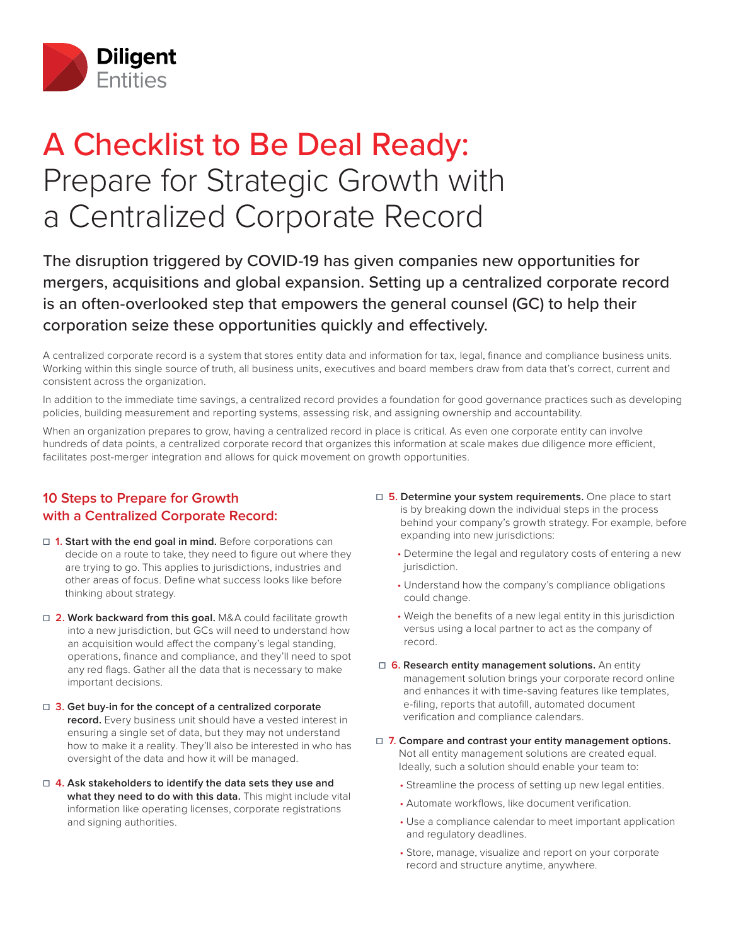

## A Checklist to Be Deal Ready: Prepare for Strategic Growth with a Centralized Corporate Record

The disruption triggered by COVID-19 has given companies new opportunities for mergers, acquisitions and global expansion. Setting up a centralized corporate record is an often-overlooked step that empowers the general counsel (GC) to help their corporation seize these opportunities quickly and effectively.

A centralized corporate record is a system that stores entity data and information for tax, legal, finance and compliance business units. Working within this single source of truth, all business units, executives and board members draw from data that's correct, current and consistent across the organization.

In addition to the immediate time savings, a centralized record provides a foundation for good governance practices such as developing policies, building measurement and reporting systems, assessing risk, and assigning ownership and accountability.

When an organization prepares to grow, having a centralized record in place is critical. As even one corporate entity can involve hundreds of data points, a centralized corporate record that organizes this information at scale makes due diligence more efficient, facilitates post-merger integration and allows for quick movement on growth opportunities.

## **10 Steps to Prepare for Growth with a Centralized Corporate Record:**

- **□ 1. Start with the end goal in mind.** Before corporations can decide on a route to take, they need to figure out where they are trying to go. This applies to jurisdictions, industries and other areas of focus. Define what success looks like before thinking about strategy.
- **□ 2. Work backward from this goal.** M&A could facilitate growth into a new jurisdiction, but GCs will need to understand how an acquisition would affect the company's legal standing, operations, finance and compliance, and they'll need to spot any red flags. Gather all the data that is necessary to make important decisions.
- **☐ 3. Get buy-in for the concept of a centralized corporate record.** Every business unit should have a vested interest in ensuring a single set of data, but they may not understand how to make it a reality. They'll also be interested in who has oversight of the data and how it will be managed.
- **☐ 4. Ask stakeholders to identify the data sets they use and what they need to do with this data.** This might include vital information like operating licenses, corporate registrations and signing authorities.
- **☐ 5. Determine your system requirements.** One place to start is by breaking down the individual steps in the process behind your company's growth strategy. For example, before expanding into new jurisdictions:
	- Determine the legal and regulatory costs of entering a new jurisdiction.
	- Understand how the company's compliance obligations could change.
	- Weigh the benefits of a new legal entity in this jurisdiction versus using a local partner to act as the company of record.
- **☐ 6. Research entity management solutions.** An entity management solution brings your corporate record online and enhances it with time-saving features like templates, e-filing, reports that autofill, automated document verification and compliance calendars.
- **☐ 7. Compare and contrast your entity management options.** Not all entity management solutions are created equal. Ideally, such a solution should enable your team to:
	- Streamline the process of setting up new legal entities.
	- Automate workflows, like document verification.
	- Use a compliance calendar to meet important application and regulatory deadlines.
	- Store, manage, visualize and report on your corporate record and structure anytime, anywhere.